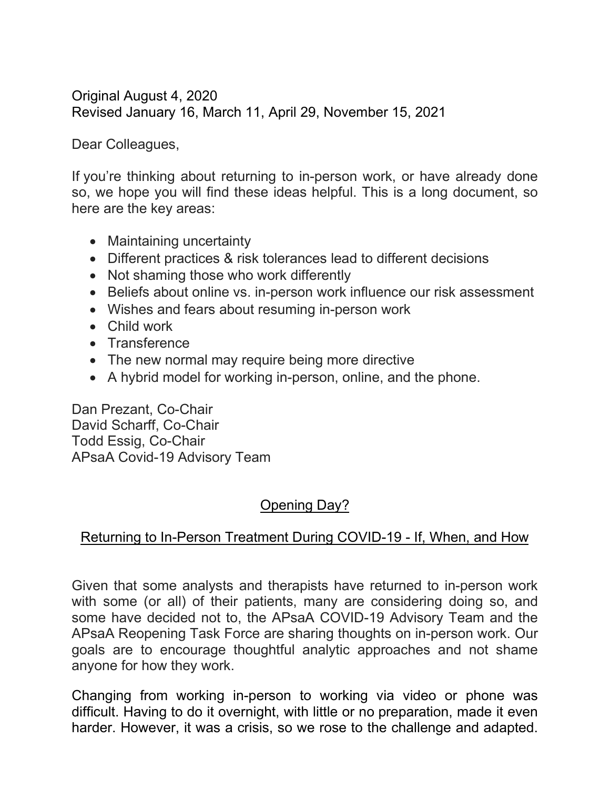Original August 4, 2020 Revised January 16, March 11, April 29, November 15, 2021

Dear Colleagues,

If you're thinking about returning to in-person work, or have already done so, we hope you will find these ideas helpful. This is a long document, so here are the key areas:

- Maintaining uncertainty
- Different practices & risk tolerances lead to different decisions
- Not shaming those who work differently
- Beliefs about online vs. in-person work influence our risk assessment
- Wishes and fears about resuming in-person work
- Child work
- Transference
- The new normal may require being more directive
- A hybrid model for working in-person, online, and the phone.

Dan Prezant, Co-Chair David Scharff, Co-Chair Todd Essig, Co-Chair APsaA Covid-19 Advisory Team

# Opening Day?

## Returning to In-Person Treatment During COVID-19 - If, When, and How

Given that some analysts and therapists have returned to in-person work with some (or all) of their patients, many are considering doing so, and some have decided not to, the APsaA COVID-19 Advisory Team and the APsaA Reopening Task Force are sharing thoughts on in-person work. Our goals are to encourage thoughtful analytic approaches and not shame anyone for how they work.

Changing from working in-person to working via video or phone was difficult. Having to do it overnight, with little or no preparation, made it even harder. However, it was a crisis, so we rose to the challenge and adapted.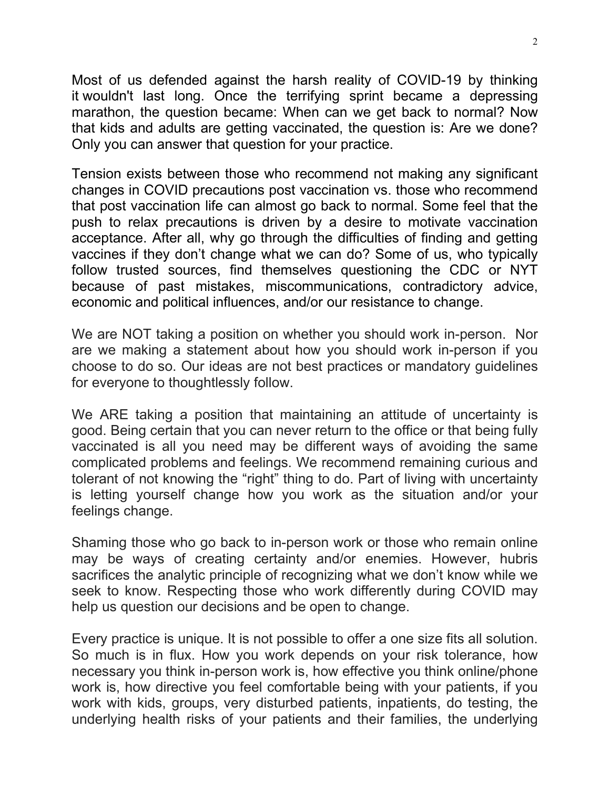Most of us defended against the harsh reality of COVID-19 by thinking it wouldn't last long. Once the terrifying sprint became a depressing marathon, the question became: When can we get back to normal? Now that kids and adults are getting vaccinated, the question is: Are we done? Only you can answer that question for your practice.

Tension exists between those who recommend not making any significant changes in COVID precautions post vaccination vs. those who recommend that post vaccination life can almost go back to normal. Some feel that the push to relax precautions is driven by a desire to motivate vaccination acceptance. After all, why go through the difficulties of finding and getting vaccines if they don't change what we can do? Some of us, who typically follow trusted sources, find themselves questioning the CDC or NYT because of past mistakes, miscommunications, contradictory advice, economic and political influences, and/or our resistance to change.

We are NOT taking a position on whether you should work in-person. Nor are we making a statement about how you should work in-person if you choose to do so. Our ideas are not best practices or mandatory guidelines for everyone to thoughtlessly follow.

We ARE taking a position that maintaining an attitude of uncertainty is good. Being certain that you can never return to the office or that being fully vaccinated is all you need may be different ways of avoiding the same complicated problems and feelings. We recommend remaining curious and tolerant of not knowing the "right" thing to do. Part of living with uncertainty is letting yourself change how you work as the situation and/or your feelings change.

Shaming those who go back to in-person work or those who remain online may be ways of creating certainty and/or enemies. However, hubris sacrifices the analytic principle of recognizing what we don't know while we seek to know. Respecting those who work differently during COVID may help us question our decisions and be open to change.

Every practice is unique. It is not possible to offer a one size fits all solution. So much is in flux. How you work depends on your risk tolerance, how necessary you think in-person work is, how effective you think online/phone work is, how directive you feel comfortable being with your patients, if you work with kids, groups, very disturbed patients, inpatients, do testing, the underlying health risks of your patients and their families, the underlying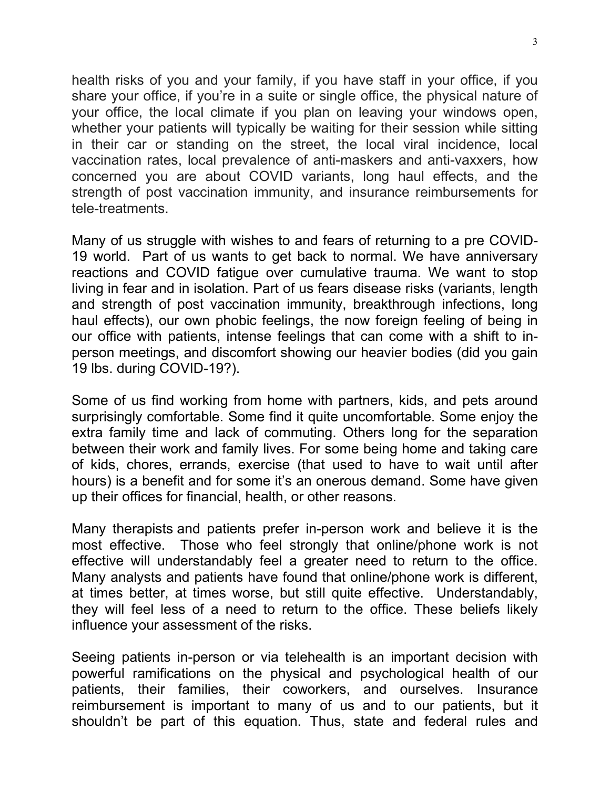health risks of you and your family, if you have staff in your office, if you share your office, if you're in a suite or single office, the physical nature of your office, the local climate if you plan on leaving your windows open, whether your patients will typically be waiting for their session while sitting in their car or standing on the street, the local viral incidence, local vaccination rates, local prevalence of anti-maskers and anti-vaxxers, how concerned you are about COVID variants, long haul effects, and the strength of post vaccination immunity, and insurance reimbursements for tele-treatments.

Many of us struggle with wishes to and fears of returning to a pre COVID-19 world. Part of us wants to get back to normal. We have anniversary reactions and COVID fatigue over cumulative trauma. We want to stop living in fear and in isolation. Part of us fears disease risks (variants, length and strength of post vaccination immunity, breakthrough infections, long haul effects), our own phobic feelings, the now foreign feeling of being in our office with patients, intense feelings that can come with a shift to inperson meetings, and discomfort showing our heavier bodies (did you gain 19 lbs. during COVID-19?).

Some of us find working from home with partners, kids, and pets around surprisingly comfortable. Some find it quite uncomfortable. Some enjoy the extra family time and lack of commuting. Others long for the separation between their work and family lives. For some being home and taking care of kids, chores, errands, exercise (that used to have to wait until after hours) is a benefit and for some it's an onerous demand. Some have given up their offices for financial, health, or other reasons.

Many therapists and patients prefer in-person work and believe it is the most effective. Those who feel strongly that online/phone work is not effective will understandably feel a greater need to return to the office. Many analysts and patients have found that online/phone work is different, at times better, at times worse, but still quite effective. Understandably, they will feel less of a need to return to the office. These beliefs likely influence your assessment of the risks.

Seeing patients in-person or via telehealth is an important decision with powerful ramifications on the physical and psychological health of our patients, their families, their coworkers, and ourselves. Insurance reimbursement is important to many of us and to our patients, but it shouldn't be part of this equation. Thus, state and federal rules and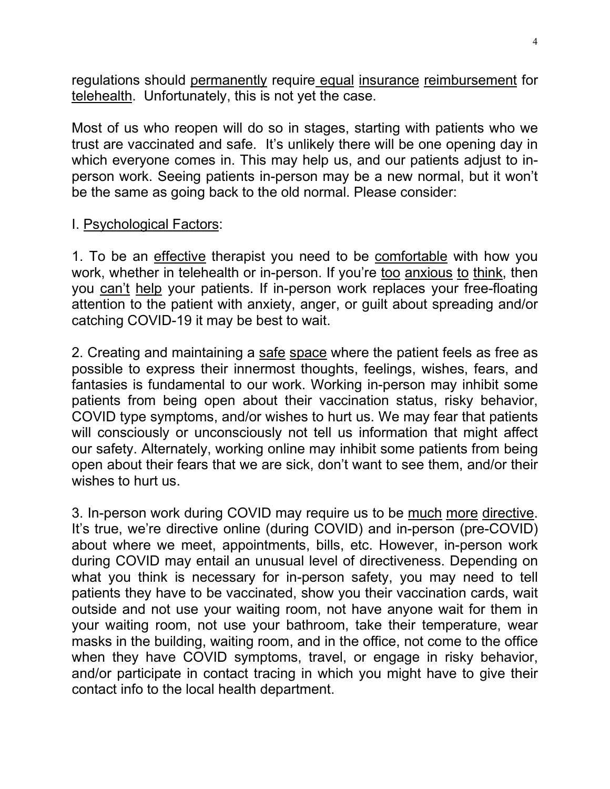regulations should permanently require equal insurance reimbursement for telehealth. Unfortunately, this is not yet the case.

Most of us who reopen will do so in stages, starting with patients who we trust are vaccinated and safe. It's unlikely there will be one opening day in which everyone comes in. This may help us, and our patients adjust to inperson work. Seeing patients in-person may be a new normal, but it won't be the same as going back to the old normal. Please consider:

#### I. Psychological Factors:

1. To be an effective therapist you need to be comfortable with how you work, whether in telehealth or in-person. If you're too anxious to think, then you can't help your patients. If in-person work replaces your free-floating attention to the patient with anxiety, anger, or guilt about spreading and/or catching COVID-19 it may be best to wait.

2. Creating and maintaining a safe space where the patient feels as free as possible to express their innermost thoughts, feelings, wishes, fears, and fantasies is fundamental to our work. Working in-person may inhibit some patients from being open about their vaccination status, risky behavior, COVID type symptoms, and/or wishes to hurt us. We may fear that patients will consciously or unconsciously not tell us information that might affect our safety. Alternately, working online may inhibit some patients from being open about their fears that we are sick, don't want to see them, and/or their wishes to hurt us.

3. In-person work during COVID may require us to be much more directive. It's true, we're directive online (during COVID) and in-person (pre-COVID) about where we meet, appointments, bills, etc. However, in-person work during COVID may entail an unusual level of directiveness. Depending on what you think is necessary for in-person safety, you may need to tell patients they have to be vaccinated, show you their vaccination cards, wait outside and not use your waiting room, not have anyone wait for them in your waiting room, not use your bathroom, take their temperature, wear masks in the building, waiting room, and in the office, not come to the office when they have COVID symptoms, travel, or engage in risky behavior, and/or participate in contact tracing in which you might have to give their contact info to the local health department.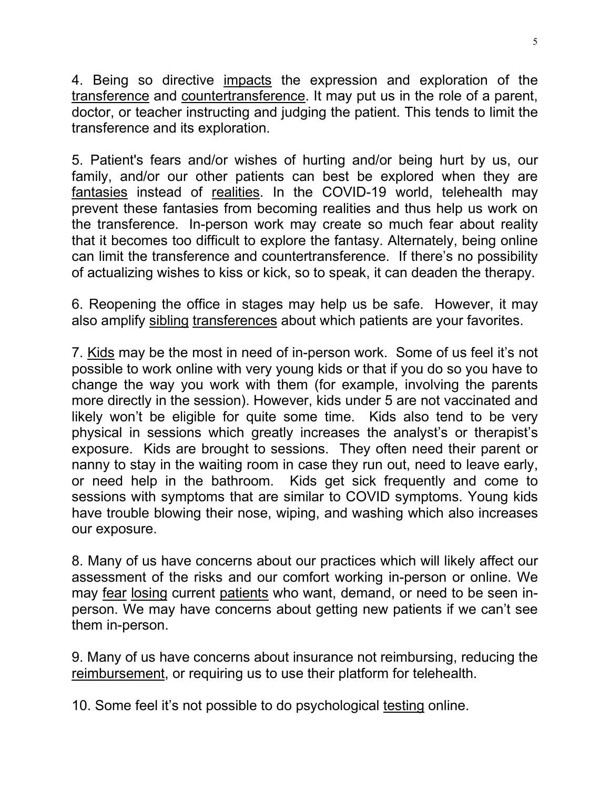4. Being so directive impacts the expression and exploration of the transference and countertransference. It may put us in the role of a parent, doctor, or teacher instructing and judging the patient. This tends to limit the transference and its exploration.

5. Patient's fears and/or wishes of hurting and/or being hurt by us, our family, and/or our other patients can best be explored when they are fantasies instead of realities. In the COVID-19 world, telehealth may prevent these fantasies from becoming realities and thus help us work on the transference. In-person work may create so much fear about reality that it becomes too difficult to explore the fantasy. Alternately, being online can limit the transference and countertransference. If there's no possibility of actualizing wishes to kiss or kick, so to speak, it can deaden the therapy.

6. Reopening the office in stages may help us be safe. However, it may also amplify sibling transferences about which patients are your favorites.

7. Kids may be the most in need of in-person work. Some of us feel it's not possible to work online with very young kids or that if you do so you have to change the way you work with them (for example, involving the parents more directly in the session). However, kids under 5 are not vaccinated and likely won't be eligible for quite some time. Kids also tend to be very physical in sessions which greatly increases the analyst's or therapist's exposure. Kids are brought to sessions. They often need their parent or nanny to stay in the waiting room in case they run out, need to leave early, or need help in the bathroom. Kids get sick frequently and come to sessions with symptoms that are similar to COVID symptoms. Young kids have trouble blowing their nose, wiping, and washing which also increases our exposure.

8. Many of us have concerns about our practices which will likely affect our assessment of the risks and our comfort working in-person or online. We may fear losing current patients who want, demand, or need to be seen inperson. We may have concerns about getting new patients if we can't see them in-person.

9. Many of us have concerns about insurance not reimbursing, reducing the reimbursement, or requiring us to use their platform for telehealth.

10. Some feel it's not possible to do psychological testing online.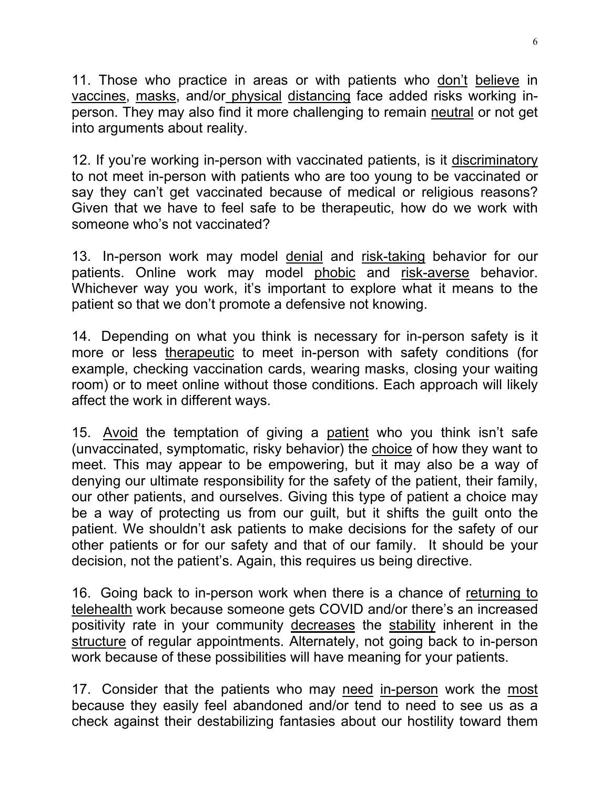11. Those who practice in areas or with patients who don't believe in vaccines, masks, and/or physical distancing face added risks working inperson. They may also find it more challenging to remain neutral or not get into arguments about reality.

12. If you're working in-person with vaccinated patients, is it discriminatory to not meet in-person with patients who are too young to be vaccinated or say they can't get vaccinated because of medical or religious reasons? Given that we have to feel safe to be therapeutic, how do we work with someone who's not vaccinated?

13. In-person work may model denial and risk-taking behavior for our patients. Online work may model phobic and risk-averse behavior. Whichever way you work, it's important to explore what it means to the patient so that we don't promote a defensive not knowing.

14. Depending on what you think is necessary for in-person safety is it more or less therapeutic to meet in-person with safety conditions (for example, checking vaccination cards, wearing masks, closing your waiting room) or to meet online without those conditions. Each approach will likely affect the work in different ways.

15. Avoid the temptation of giving a patient who you think isn't safe (unvaccinated, symptomatic, risky behavior) the choice of how they want to meet. This may appear to be empowering, but it may also be a way of denying our ultimate responsibility for the safety of the patient, their family, our other patients, and ourselves. Giving this type of patient a choice may be a way of protecting us from our guilt, but it shifts the guilt onto the patient. We shouldn't ask patients to make decisions for the safety of our other patients or for our safety and that of our family. It should be your decision, not the patient's. Again, this requires us being directive.

16. Going back to in-person work when there is a chance of returning to telehealth work because someone gets COVID and/or there's an increased positivity rate in your community decreases the stability inherent in the structure of regular appointments. Alternately, not going back to in-person work because of these possibilities will have meaning for your patients.

17. Consider that the patients who may need in-person work the most because they easily feel abandoned and/or tend to need to see us as a check against their destabilizing fantasies about our hostility toward them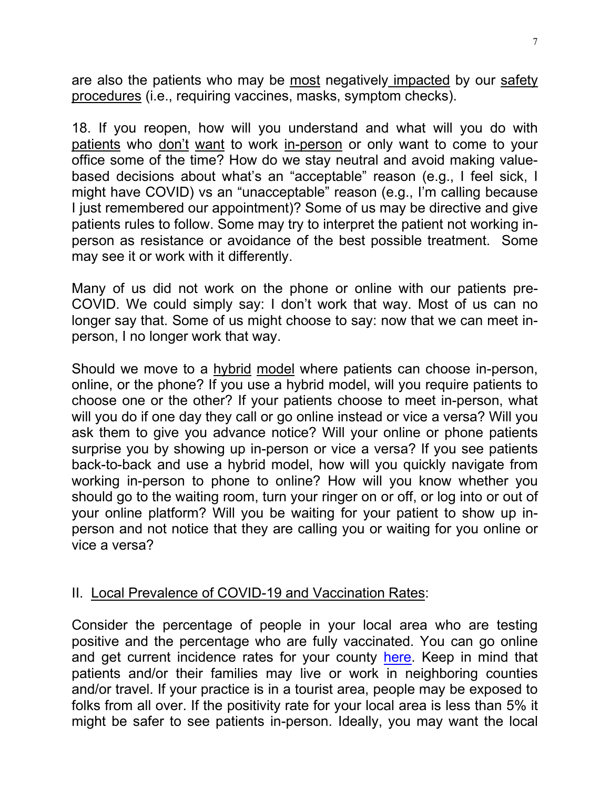are also the patients who may be most negatively impacted by our safety procedures (i.e., requiring vaccines, masks, symptom checks).

18. If you reopen, how will you understand and what will you do with patients who don't want to work in-person or only want to come to your office some of the time? How do we stay neutral and avoid making valuebased decisions about what's an "acceptable" reason (e.g., I feel sick, I might have COVID) vs an "unacceptable" reason (e.g., I'm calling because I just remembered our appointment)? Some of us may be directive and give patients rules to follow. Some may try to interpret the patient not working inperson as resistance or avoidance of the best possible treatment. Some may see it or work with it differently.

Many of us did not work on the phone or online with our patients pre-COVID. We could simply say: I don't work that way. Most of us can no longer say that. Some of us might choose to say: now that we can meet inperson, I no longer work that way.

Should we move to a hybrid model where patients can choose in-person, online, or the phone? If you use a hybrid model, will you require patients to choose one or the other? If your patients choose to meet in-person, what will you do if one day they call or go online instead or vice a versa? Will you ask them to give you advance notice? Will your online or phone patients surprise you by showing up in-person or vice a versa? If you see patients back-to-back and use a hybrid model, how will you quickly navigate from working in-person to phone to online? How will you know whether you should go to the waiting room, turn your ringer on or off, or log into or out of your online platform? Will you be waiting for your patient to show up inperson and not notice that they are calling you or waiting for you online or vice a versa?

## II. Local Prevalence of COVID-19 and Vaccination Rates:

Consider the percentage of people in your local area who are testing positive and the percentage who are fully vaccinated. You can go online and get current incidence rates for your county [here.](https://globalepidemics.org/key-metrics-for-covid-suppression/) Keep in mind that patients and/or their families may live or work in neighboring counties and/or travel. If your practice is in a tourist area, people may be exposed to folks from all over. If the positivity rate for your local area is less than 5% it might be safer to see patients in-person. Ideally, you may want the local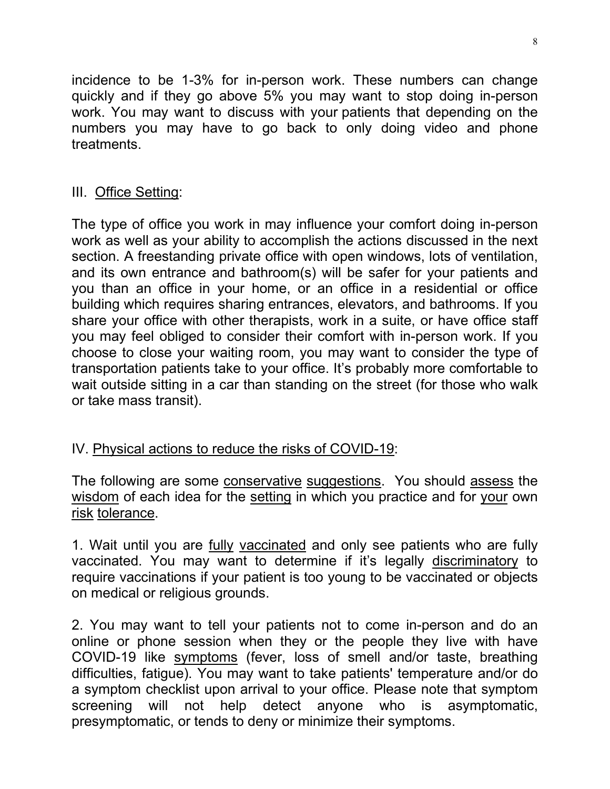incidence to be 1-3% for in-person work. These numbers can change quickly and if they go above 5% you may want to stop doing in-person work. You may want to discuss with your patients that depending on the numbers you may have to go back to only doing video and phone treatments.

#### III. Office Setting:

The type of office you work in may influence your comfort doing in-person work as well as your ability to accomplish the actions discussed in the next section. A freestanding private office with open windows, lots of ventilation, and its own entrance and bathroom(s) will be safer for your patients and you than an office in your home, or an office in a residential or office building which requires sharing entrances, elevators, and bathrooms. If you share your office with other therapists, work in a suite, or have office staff you may feel obliged to consider their comfort with in-person work. If you choose to close your waiting room, you may want to consider the type of transportation patients take to your office. It's probably more comfortable to wait outside sitting in a car than standing on the street (for those who walk or take mass transit).

## IV. Physical actions to reduce the risks of COVID-19:

The following are some conservative suggestions. You should assess the wisdom of each idea for the setting in which you practice and for your own risk tolerance.

1. Wait until you are fully vaccinated and only see patients who are fully vaccinated. You may want to determine if it's legally discriminatory to require vaccinations if your patient is too young to be vaccinated or objects on medical or religious grounds.

2. You may want to tell your patients not to come in-person and do an online or phone session when they or the people they live with have COVID-19 like symptoms (fever, loss of smell and/or taste, breathing difficulties, fatigue). You may want to take patients' temperature and/or do a symptom checklist upon arrival to your office. Please note that symptom screening will not help detect anyone who is asymptomatic, presymptomatic, or tends to deny or minimize their symptoms.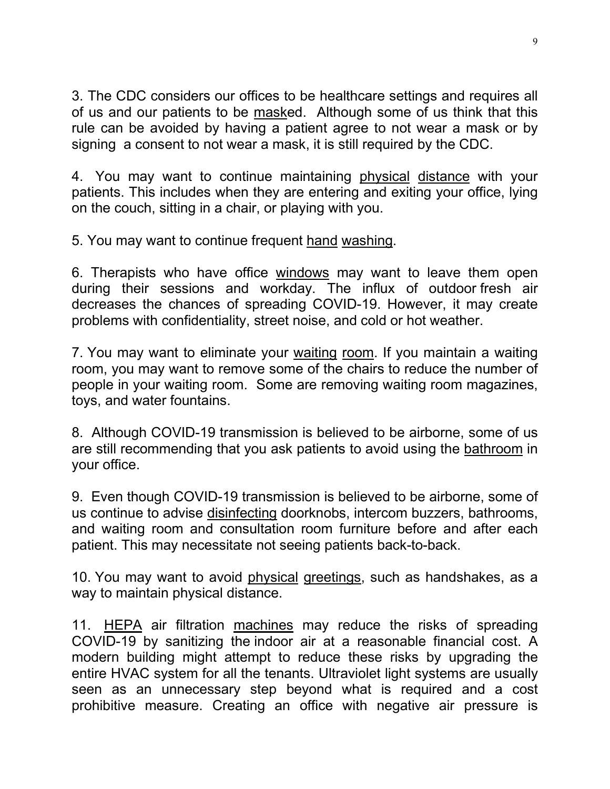3. The CDC considers our offices to be healthcare settings and requires all of us and our patients to be masked. Although some of us think that this rule can be avoided by having a patient agree to not wear a mask or by signing a consent to not wear a mask, it is still required by the CDC.

4. You may want to continue maintaining physical distance with your patients. This includes when they are entering and exiting your office, lying on the couch, sitting in a chair, or playing with you.

5. You may want to continue frequent hand washing.

6. Therapists who have office windows may want to leave them open during their sessions and workday. The influx of outdoor fresh air decreases the chances of spreading COVID-19. However, it may create problems with confidentiality, street noise, and cold or hot weather.

7. You may want to eliminate your waiting room. If you maintain a waiting room, you may want to remove some of the chairs to reduce the number of people in your waiting room. Some are removing waiting room magazines, toys, and water fountains.

8. Although COVID-19 transmission is believed to be airborne, some of us are still recommending that you ask patients to avoid using the bathroom in your office.

9. Even though COVID-19 transmission is believed to be airborne, some of us continue to advise disinfecting doorknobs, intercom buzzers, bathrooms, and waiting room and consultation room furniture before and after each patient. This may necessitate not seeing patients back-to-back.

10. You may want to avoid physical greetings, such as handshakes, as a way to maintain physical distance.

11. HEPA air filtration machines may reduce the risks of spreading COVID-19 by sanitizing the indoor air at a reasonable financial cost. A modern building might attempt to reduce these risks by upgrading the entire HVAC system for all the tenants. Ultraviolet light systems are usually seen as an unnecessary step beyond what is required and a cost prohibitive measure. Creating an office with negative air pressure is